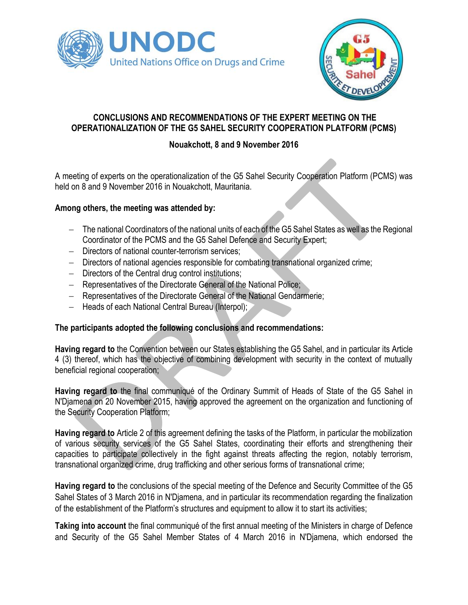



# **CONCLUSIONS AND RECOMMENDATIONS OF THE EXPERT MEETING ON THE OPERATIONALIZATION OF THE G5 SAHEL SECURITY COOPERATION PLATFORM (PCMS)**

# **Nouakchott, 8 and 9 November 2016**

A meeting of experts on the operationalization of the G5 Sahel Security Cooperation Platform (PCMS) was held on 8 and 9 November 2016 in Nouakchott, Mauritania.

## **Among others, the meeting was attended by:**

- The national Coordinators of the national units of each of the G5 Sahel States as well as the Regional Coordinator of the PCMS and the G5 Sahel Defence and Security Expert;
- Directors of national counter-terrorism services;
- Directors of national agencies responsible for combating transnational organized crime;
- Directors of the Central drug control institutions;
- Representatives of the Directorate General of the National Police;
- Representatives of the Directorate General of the National Gendarmerie;
- Heads of each National Central Bureau (Interpol);

## **The participants adopted the following conclusions and recommendations:**

**Having regard to** the Convention between our States establishing the G5 Sahel, and in particular its Article 4 (3) thereof, which has the objective of combining development with security in the context of mutually beneficial regional cooperation;

**Having regard to** the final communiqué of the Ordinary Summit of Heads of State of the G5 Sahel in N'Djamena on 20 November 2015, having approved the agreement on the organization and functioning of the Security Cooperation Platform;

**Having regard to** Article 2 of this agreement defining the tasks of the Platform, in particular the mobilization of various security services of the G5 Sahel States, coordinating their efforts and strengthening their capacities to participate collectively in the fight against threats affecting the region, notably terrorism, transnational organized crime, drug trafficking and other serious forms of transnational crime;

**Having regard to** the conclusions of the special meeting of the Defence and Security Committee of the G5 Sahel States of 3 March 2016 in N'Djamena, and in particular its recommendation regarding the finalization of the establishment of the Platform's structures and equipment to allow it to start its activities;

**Taking into account** the final communiqué of the first annual meeting of the Ministers in charge of Defence and Security of the G5 Sahel Member States of 4 March 2016 in N'Djamena, which endorsed the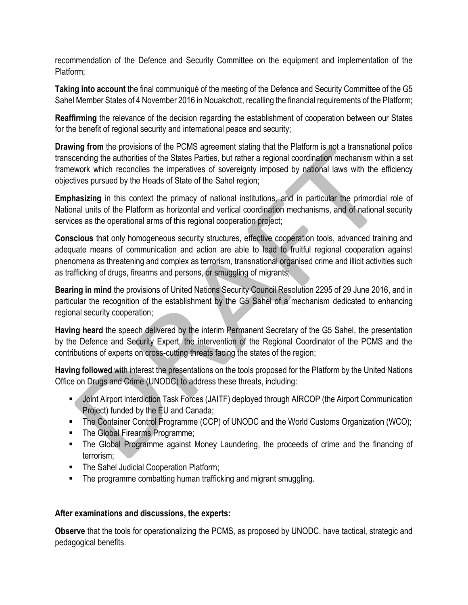recommendation of the Defence and Security Committee on the equipment and implementation of the Platform;

**Taking into account** the final communiqué of the meeting of the Defence and Security Committee of the G5 Sahel Member States of 4 November 2016 in Nouakchott, recalling the financial requirements of the Platform;

**Reaffirming** the relevance of the decision regarding the establishment of cooperation between our States for the benefit of regional security and international peace and security;

**Drawing from** the provisions of the PCMS agreement stating that the Platform is not a transnational police transcending the authorities of the States Parties, but rather a regional coordination mechanism within a set framework which reconciles the imperatives of sovereignty imposed by national laws with the efficiency objectives pursued by the Heads of State of the Sahel region;

**Emphasizing** in this context the primacy of national institutions, and in particular the primordial role of National units of the Platform as horizontal and vertical coordination mechanisms, and of national security services as the operational arms of this regional cooperation project;

**Conscious** that only homogeneous security structures, effective cooperation tools, advanced training and adequate means of communication and action are able to lead to fruitful regional cooperation against phenomena as threatening and complex as terrorism, transnational organised crime and illicit activities such as trafficking of drugs, firearms and persons, or smuggling of migrants;

**Bearing in mind** the provisions of United Nations Security Council Resolution 2295 of 29 June 2016, and in particular the recognition of the establishment by the G5 Sahel of a mechanism dedicated to enhancing regional security cooperation;

**Having heard** the speech delivered by the interim Permanent Secretary of the G5 Sahel, the presentation by the Defence and Security Expert, the intervention of the Regional Coordinator of the PCMS and the contributions of experts on cross-cutting threats facing the states of the region;

**Having followed** with interest the presentations on the tools proposed for the Platform by the United Nations Office on Drugs and Crime (UNODC) to address these threats, including:

- **Joint Airport Interdiction Task Forces (JAITF) deployed through AIRCOP (the Airport Communication** Project) funded by the EU and Canada;
- The Container Control Programme (CCP) of UNODC and the World Customs Organization (WCO);
- The Global Firearms Programme;
- The Global Programme against Money Laundering, the proceeds of crime and the financing of terrorism;
- The Sahel Judicial Cooperation Platform;
- **The programme combatting human trafficking and migrant smuggling.**

#### **After examinations and discussions, the experts:**

**Observe** that the tools for operationalizing the PCMS, as proposed by UNODC, have tactical, strategic and pedagogical benefits.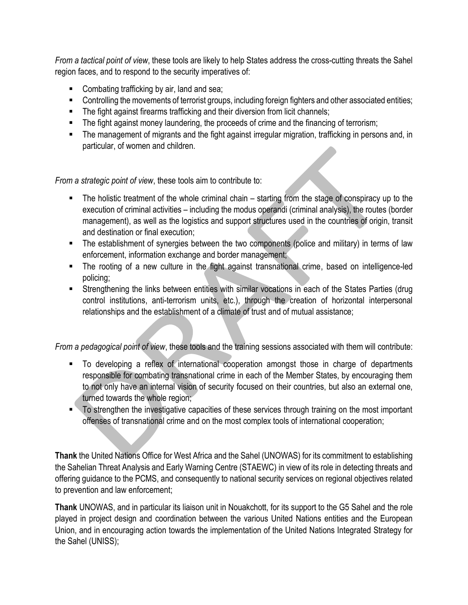*From a tactical point of view*, these tools are likely to help States address the cross-cutting threats the Sahel region faces, and to respond to the security imperatives of:

- **Combating trafficking by air, land and sea;**
- Controlling the movements of terrorist groups, including foreign fighters and other associated entities;
- **The fight against firearms trafficking and their diversion from licit channels;**
- The fight against money laundering, the proceeds of crime and the financing of terrorism;
- The management of migrants and the fight against irregular migration, trafficking in persons and, in particular, of women and children.

*From a strategic point of view*, these tools aim to contribute to:

- The holistic treatment of the whole criminal chain starting from the stage of conspiracy up to the execution of criminal activities – including the modus operandi (criminal analysis), the routes (border management), as well as the logistics and support structures used in the countries of origin, transit and destination or final execution;
- The establishment of synergies between the two components (police and military) in terms of law enforcement, information exchange and border management;
- The rooting of a new culture in the fight against transnational crime, based on intelligence-led policing;
- Strengthening the links between entities with similar vocations in each of the States Parties (drug control institutions, anti-terrorism units, etc.), through the creation of horizontal interpersonal relationships and the establishment of a climate of trust and of mutual assistance;

*From a pedagogical point of view*, these tools and the training sessions associated with them will contribute:

- To developing a reflex of international cooperation amongst those in charge of departments responsible for combating transnational crime in each of the Member States, by encouraging them to not only have an internal vision of security focused on their countries, but also an external one, turned towards the whole region;
- To strengthen the investigative capacities of these services through training on the most important offenses of transnational crime and on the most complex tools of international cooperation;

**Thank** the United Nations Office for West Africa and the Sahel (UNOWAS) for its commitment to establishing the Sahelian Threat Analysis and Early Warning Centre (STAEWC) in view of its role in detecting threats and offering guidance to the PCMS, and consequently to national security services on regional objectives related to prevention and law enforcement;

**Thank** UNOWAS, and in particular its liaison unit in Nouakchott, for its support to the G5 Sahel and the role played in project design and coordination between the various United Nations entities and the European Union, and in encouraging action towards the implementation of the United Nations Integrated Strategy for the Sahel (UNISS);